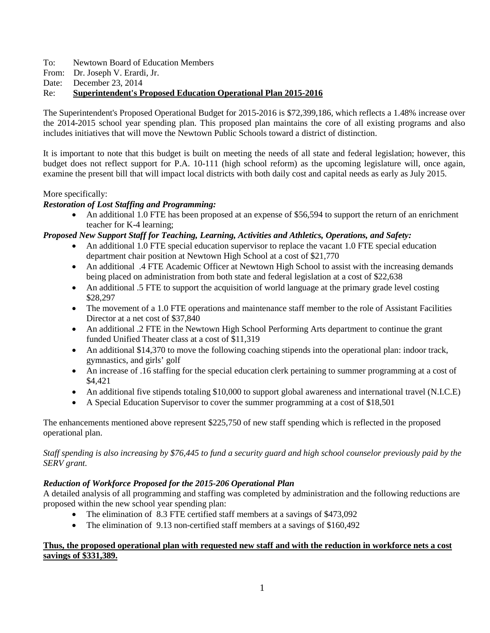To: Newtown Board of Education Members

From: Dr. Joseph V. Erardi, Jr.

Date: December 23, 2014

Re: **Superintendent's Proposed Education Operational Plan 2015-2016**

The Superintendent's Proposed Operational Budget for 2015-2016 is \$72,399,186, which reflects a 1.48% increase over the 2014-2015 school year spending plan. This proposed plan maintains the core of all existing programs and also includes initiatives that will move the Newtown Public Schools toward a district of distinction.

It is important to note that this budget is built on meeting the needs of all state and federal legislation; however, this budget does not reflect support for P.A. 10-111 (high school reform) as the upcoming legislature will, once again, examine the present bill that will impact local districts with both daily cost and capital needs as early as July 2015.

## More specifically:

# *Restoration of Lost Staffing and Programming:*

• An additional 1.0 FTE has been proposed at an expense of \$56,594 to support the return of an enrichment teacher for K-4 learning;

## *Proposed New Support Staff for Teaching, Learning, Activities and Athletics, Operations, and Safety:*

- An additional 1.0 FTE special education supervisor to replace the vacant 1.0 FTE special education department chair position at Newtown High School at a cost of \$21,770
- An additional .4 FTE Academic Officer at Newtown High School to assist with the increasing demands being placed on administration from both state and federal legislation at a cost of \$22,638
- An additional .5 FTE to support the acquisition of world language at the primary grade level costing \$28,297
- The movement of a 1.0 FTE operations and maintenance staff member to the role of Assistant Facilities Director at a net cost of \$37,840
- An additional .2 FTE in the Newtown High School Performing Arts department to continue the grant funded Unified Theater class at a cost of \$11,319
- An additional \$14,370 to move the following coaching stipends into the operational plan: indoor track, gymnastics, and girls' golf
- An increase of .16 staffing for the special education clerk pertaining to summer programming at a cost of \$4,421
- An additional five stipends totaling \$10,000 to support global awareness and international travel (N.I.C.E)
- A Special Education Supervisor to cover the summer programming at a cost of \$18,501

The enhancements mentioned above represent \$225,750 of new staff spending which is reflected in the proposed operational plan.

*Staff spending is also increasing by \$76,445 to fund a security guard and high school counselor previously paid by the SERV grant.*

# *Reduction of Workforce Proposed for the 2015-206 Operational Plan*

A detailed analysis of all programming and staffing was completed by administration and the following reductions are proposed within the new school year spending plan:

- The elimination of 8.3 FTE certified staff members at a savings of \$473,092
- The elimination of 9.13 non-certified staff members at a savings of \$160,492

## **Thus, the proposed operational plan with requested new staff and with the reduction in workforce nets a cost savings of \$331,389.**